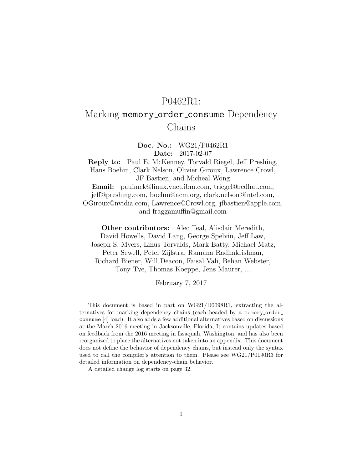# P0462R1:

# Marking memory\_order\_consume Dependency Chains

Doc. No.: WG21/P0462R1 Date: 2017-02-07

Reply to: Paul E. McKenney, Torvald Riegel, Jeff Preshing, Hans Boehm, Clark Nelson, Olivier Giroux, Lawrence Crowl, JF Bastien, and Micheal Wong Email: paulmck@linux.vnet.ibm.com, triegel@redhat.com,

jeff@preshing.com, boehm@acm.org, clark.nelson@intel.com, OGiroux@nvidia.com, Lawrence@Crowl.org, jfbastien@apple.com, and fraggamuffin@gmail.com

Other contributors: Alec Teal, Alisdair Meredith, David Howells, David Lang, George Spelvin, Jeff Law, Joseph S. Myers, Linus Torvalds, Mark Batty, Michael Matz, Peter Sewell, Peter Zijlstra, Ramana Radhakrishnan, Richard Biener, Will Deacon, Faisal Vali, Behan Webster, Tony Tye, Thomas Koeppe, Jens Maurer, ...

February 7, 2017

This document is based in part on WG21/D0098R1, extracting the alternatives for marking dependency chains (each headed by a memory order consume [\[4\]](#page-29-0) load). It also adds a few additional alternatives based on discussions at the March 2016 meeting in Jacksonville, Florida, It contains updates based on feedback from the 2016 meeting in Issaquah, Washington, and has also been reorganized to place the alternatives not taken into an appendix. This document does not define the behavior of dependency chains, but instead only the syntax used to call the compiler's attention to them. Please see WG21/P0190R3 for detailed information on dependency-chain behavior.

A detailed change log starts on page [32.](#page-31-0)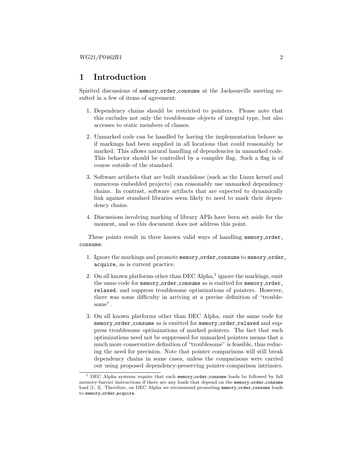## 1 Introduction

Spirited discussions of memory order consume at the Jacksonville meeting resulted in a few of items of agreement:

- 1. Dependency chains should be restricted to pointers. Please note that this excludes not only the troublesome objects of integral type, but also accesses to static members of classes.
- 2. Unmarked code can be handled by having the implementation behave as if markings had been supplied in all locations that could reasonably be marked. This allows natural handling of dependencies in unmarked code. This behavior should be controlled by a compiler flag. Such a flag is of course outside of the standard.
- 3. Software artifacts that are built standalone (such as the Linux kernel and numerous embedded projects) can reasonably use unmarked dependency chains. In contrast, software artifacts that are expected to dynamically link against standard libraries seem likely to need to mark their dependency chains.
- 4. Discussions involving marking of library APIs have been set aside for the moment, and so this document does not address this point.

These points result in three known valid ways of handling memory\_order\_ consume:

- 1. Ignore the markings and promote memory\_order\_consume to memory\_order\_ acquire, as is current practice.
- 2. On all known platforms other than DEC Alpha, $<sup>1</sup>$  $<sup>1</sup>$  $<sup>1</sup>$  ignore the markings, emit</sup> the same code for memory\_order\_consume as is emitted for memory\_order\_ relaxed, and suppress troublesome optimizations of pointers. However, there was some difficulty in arriving at a precise definition of "troublesome".
- 3. On all known platforms other than DEC Alpha, emit the same code for memory\_order\_consume as is emitted for memory\_order\_relaxed and suppress troublesome optimizations of marked pointers. The fact that such optimizations need not be suppressed for unmarked pointers means that a much more conservative definition of "troublesome" is feasible, thus reducing the need for precision. Note that pointer comparisons will still break dependency chains in some cases, unless the comparisons were carried out using proposed dependency-preserving pointer-comparison intrinsics.

<span id="page-1-0"></span><sup>&</sup>lt;sup>1</sup> DEC Alpha systems require that each memory\_order\_consume loads be followed by full memory-barrier instructions if there are any loads that depend on the memory order consume load [\[1,](#page-29-1) [3\]](#page-29-2). Therefore, on DEC Alpha we recommend promoting memory order consume loads to memory\_order\_acquire.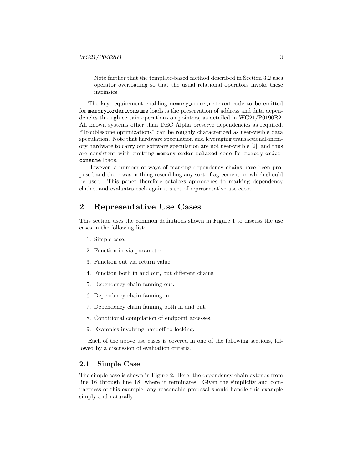Note further that the template-based method described in Section [3.2](#page-15-0) uses operator overloading so that the usual relational operators invoke these intrinsics.

The key requirement enabling memory\_order\_relaxed code to be emitted for memory order consume loads is the preservation of address and data dependencies through certain operations on pointers, as detailed in WG21/P0190R2. All known systems other than DEC Alpha preserve dependencies as required. "Troublesome optimizations" can be roughly characterized as user-visible data speculation. Note that hardware speculation and leveraging transactional-memory hardware to carry out software speculation are not user-visible [\[2\]](#page-29-3), and thus are consistent with emitting memory\_order\_relaxed code for memory\_order\_ consume loads.

However, a number of ways of marking dependency chains have been proposed and there was nothing resembling any sort of agreement on which should be used. This paper therefore catalogs approaches to marking dependency chains, and evaluates each against a set of representative use cases.

## <span id="page-2-0"></span>2 Representative Use Cases

This section uses the common definitions shown in Figure [1](#page-3-0) to discuss the use cases in the following list:

- 1. Simple case.
- 2. Function in via parameter.
- 3. Function out via return value.
- 4. Function both in and out, but different chains.
- 5. Dependency chain fanning out.
- 6. Dependency chain fanning in.
- 7. Dependency chain fanning both in and out.
- 8. Conditional compilation of endpoint accesses.
- 9. Examples involving handoff to locking.

Each of the above use cases is covered in one of the following sections, followed by a discussion of evaluation criteria.

### 2.1 Simple Case

The simple case is shown in Figure [2.](#page-4-0) Here, the dependency chain extends from line 16 through line 18, where it terminates. Given the simplicity and compactness of this example, any reasonable proposal should handle this example simply and naturally.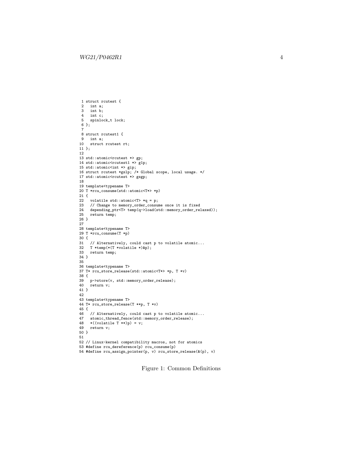```
1 struct rcutest {
 2 int a;<br>3 int h:
 3 int b;<br>4 int c:
     int c;
  5 spinlock_t lock;
6 };
  7
8 struct rcutest1 {
9 int a;<br>10 struct
     struct rcutest rt;
11 };
12
13 std::atomic<rcutest *> gp;
14 std::atomic<rcutest1 *> g1p;
15 std::atomic<int *> gip;
16 struct rcutest *gslp; /* Global scope, local usage. */
17 std::atomic<rcutest *> gsgp;
18
19 template<typename T>
20 T *rcu_consume(std::atomic<T*> *p)
21 {
22 volatile std::atomic<T> *q = p;
23 // Change to memory_order_consume once it is fixed
24 depending_ptr<T> temp(q->load(std::memory_order_relaxed));
25 return temp;
26 }
27
28 template<typename T>
29 T *rcu_consume(T *p)
30 \t{31}31 // Alternatively, could cast p to volatile atomic...
32 T *temp(*(T *volatile *)&p);
33 return temp;
34 }
35
36 template<typename T>
37 T* rcu_store_release(std::atomic<T*> *p, T *v)
38 {
39 p->store(v, std::memory_order_release);
40 return v;
41 }
42
43 template<typename T>
44 T* rcu_store_release(T **p, T *v)
45 {
46 // Alternatively, could cast p to volatile atomic...<br>47 atomic thread fence(std::memory order release):
47 atomic_thread_fence(std::memory_order_release);<br>48 \times ((\text{volatile T} * \text{*})n) = v:
     *(\text{volatile } T \ast\!\ast) p) = v;49 return v;
50 }
51
52 // Linux-kernel compatibility macros, not for atomics
53 #define rcu_dereference(p) rcu_consume(p)
54 #define rcu_assign_pointer(p, v) rcu_store_release(&(p), v)
```
Figure 1: Common Definitions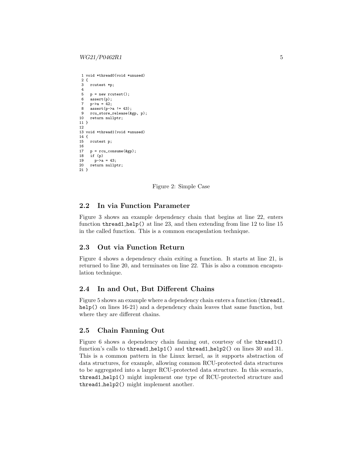```
1 void *thread0(void *unused)
2 \t3rcutest *p:
\frac{4}{5}p = new rcutest():
6 assert(p);
7 \quad p \rightarrow a = 42;8 assert(p->a != 43);
9 rcu_store_release(&gp, p);
10 return nullptr;
11 }
12
13 void *thread1(void *unused)
14 {
15 rcutest p;
16
17 p = rcu\_cosume(kgp);<br>18 if (p)if (p)19 p-\lambda a = 43;<br>20 return nullpt
     return nullptr;
21 }
```
Figure 2: Simple Case

## 2.2 In via Function Parameter

Figure [3](#page-5-0) shows an example dependency chain that begins at line 22, enters function thread1 help() at line 23, and then extending from line 12 to line 15 in the called function. This is a common encapsulation technique.

## 2.3 Out via Function Return

Figure [4](#page-5-1) shows a dependency chain exiting a function. It starts at line 21, is returned to line 20, and terminates on line 22. This is also a common encapsulation technique.

### 2.4 In and Out, But Different Chains

Figure [5](#page-6-0) shows an example where a dependency chain enters a function (thread1 help() on lines 16-21) and a dependency chain leaves that same function, but where they are different chains.

## <span id="page-4-1"></span>2.5 Chain Fanning Out

Figure [6](#page-7-0) shows a dependency chain fanning out, courtesy of the thread1() function's calls to thread1 help1() and thread1 help2() on lines 30 and 31. This is a common pattern in the Linux kernel, as it supports abstraction of data structures, for example, allowing common RCU-protected data structures to be aggregated into a larger RCU-protected data structure. In this scenario, thread1 help1() might implement one type of RCU-protected structure and thread1 help2() might implement another.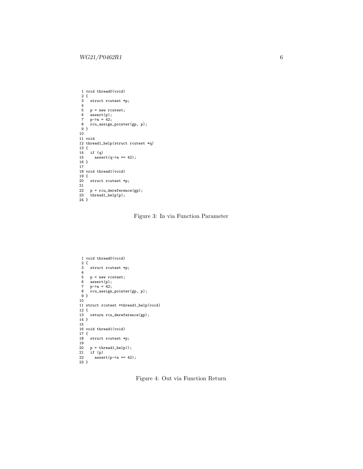```
1 void thread0(void)
2 {
 3 struct rcutest *p;
 4
5 p = new rcutest;
6 assert(p);
7 p->a = 42;
 8 rcu_assign_pointer(gp, p);
9 }
10
11 void
12 thread1_help(struct rcutest *q)
13 {
14 if (q)
      \text{assert}(q \rightarrow a == 42);16 }
17
18 void thread1(void)
19 {
20 struct rcutest *p;
21
22 p = rcu_dereference(gp);
23 thread1_help(p);
24 }
```
Figure 3: In via Function Parameter

```
1 void thread0(void)
2 {
3 struct rcutest *p;
 4
 5 p = new rcutest;
6 assert(p);
7 \quad p \rightarrow a = 42;8 rcu_assign_pointer(gp, p);
9 }
10
11 struct rcutest *thread1_help(void)
12 {
13 return rcu_dereference(gp);
14 }
15
16 void thread1(void)
17 {
18 struct rcutest *p;
19
20 p = thread1_help();
21 if (p)
22 assert(p->a == 42);
23 }
```
Figure 4: Out via Function Return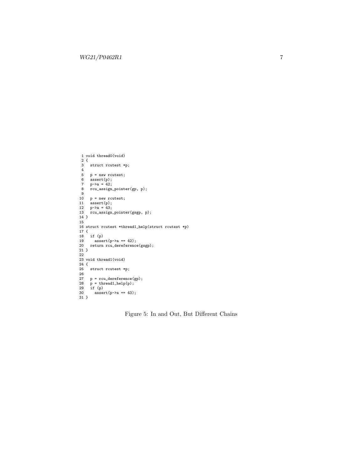```
1 void thread0(void)
 2 {
 3 struct rcutest *p;
 4
  5 p = new rcutest;
6 assert(p);
  7 p->a = 42;
8 rcu_assign_pointer(gp, p);
 9
 10 p = new rcutest;
11 assert(p);
 12 p->a = 43;
13 rcu_assign_pointer(gsgp, p);
14 }
15
16 struct rcutest *thread1_help(struct rcutest *p)
17 {
18 if (p)
        assert(p-\geq a == 42);20 return rcu_dereference(gsgp);
\begin{array}{c} 20 \\ 21 \end{array}22
 23 void thread1(void)
24 {
25 struct rcutest *p;
\frac{26}{27}27 p = rcu\_derference(gp);<br>
28 p = thread1\_help(p);<br>
29 if (p)
 28 p = thread1_help(p);
29 if (p)
30 \arctan(p-x) = 43;
31 }
```
Figure 5: In and Out, But Different Chains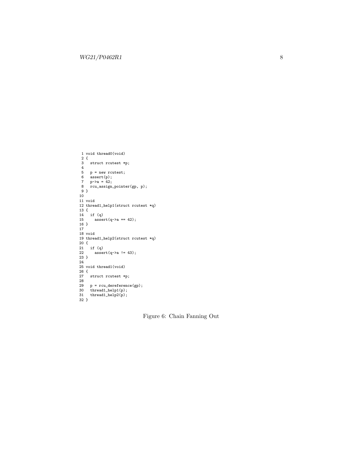```
1 void thread0(void)
2 {
 3 struct rcutest *p;
 4
  5 p = new rcutest;
6 assert(p);
7 p->a = 42;
8 rcu_assign_pointer(gp, p);
9 }
10
 11 void
12 thread1_help1(struct rcutest *q)
13 {
 14 if (q)
15 assert(q->a == 42);
16 }
 17
18 void
 19 thread1_help2(struct rcutest *q)
20 {
21 if (q)assert(q-\geq a != 43);23 }
24
 25 void thread1(void)
26 {
 27 struct rcutest *p;
28
 29 p = rcu_dereference(gp);
30 thread1_help1(p);
31 thread1_help2(p);
32 }
```
Figure 6: Chain Fanning Out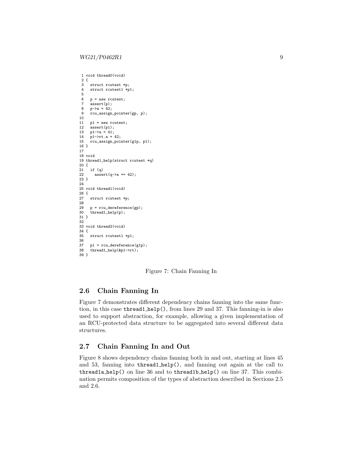```
1 void thread0(void)
 \begin{smallmatrix} 2 & \{ \\ 3 & \end{smallmatrix}struct rcutest *p;
 4 struct rcutest1 *p1;
 5
 6 p = new rcutest;
 7 assert(p);<br>8 p-\geq a = 42;
       p - >a = 42;9 rcu_assign_pointer(gp, p);
10
11 p1 = new rcutest;
12 \text{assert}(p1);<br>13 p1-\geq a = 41:
       p1 - \ge a = 41;
14 p1->rt.a = 42;
15 rcu_assign_pointer(g1p, p1);
16 }
17
18 void
19 thread1_help(struct rcutest *q)
20 \begin{array}{c} 20 \\ 21 \end{array}21 if (q)
          assert(q-\lambda a == 42);23 }
24
25 void thread1(void)
\begin{array}{c} 26 \\ 27 \end{array}struct rcutest *p;
28
29 p = rcu\_derference(gp);<br>30 thread1\_help(p);thread1_help(p);
31 }
32
33 void thread2(void)
\begin{array}{c} 34 \\ 35 \end{array}struct rcutest1 *p1;
36<br>37
37 p1 = rcu\_derference(g1p);<br>38 thread1\_help(kp1->rt);thread1_help(&p1->rt);
39 }
```
Figure 7: Chain Fanning In

### <span id="page-8-1"></span>2.6 Chain Fanning In

Figure [7](#page-8-0) demonstrates different dependency chains fanning into the same function, in this case thread1 help(), from lines 29 and 37. This fanning-in is also used to support abstraction, for example, allowing a given implementation of an RCU-protected data structure to be aggregated into several different data structures.

## 2.7 Chain Fanning In and Out

Figure [8](#page-9-0) shows dependency chains fanning both in and out, starting at lines 45 and 53, fanning into thread1 help(), and fanning out again at the call to thread1a help() on line 36 and to thread1b help() on line 37. This combination permits composition of the types of abstraction described in Sections [2.5](#page-4-1) and [2.6.](#page-8-1)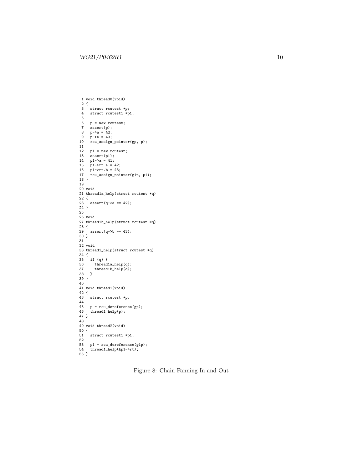```
1 void thread0(void)
 2 {
  3 struct rcutest *p;
4 struct rcutest1 *p1;
 5
 6 p = new \text{ cutest};<br>7 assert(n):assert(p);
  8 p->a = 42;
9 p->b = 43;
10 rcu_assign_pointer(gp, p);
11
12 p1 = new rcutest;<br>13 assert(p1);assert(p1);14 p1->a = 41;
15 p1->rt.a = 42;
16 p1->rt.b = 43;
17 rcu_assign_pointer(g1p, p1);
18 }
19
20 void
21 thread1a_help(struct rcutest *q)
22 \t{23}assert(q-\geq a == 42);24 }
25
26 void
27 thread1b_help(struct rcutest *q)
28 {
29 assert(q->b == 43);
30 }
31
32 void
33 thread1_help(struct rcutest *q)
\begin{array}{c} 34 \\ 35 \end{array}35 if (q) {
36 thread1a_help(q);<br>37 thread1b_help(q);
37 thread1b_help(q);<br>38}
     \rightarrow39 }
40
41 void thread1(void)
42 {
43 struct rcutest *p;
\frac{44}{45}45 p = rcu\_derference(gp);<br>46 thread1_help(p);
     thread1_{help(p)};
47 }
48
49 void thread2(void)
50 {
     struct rcutest1 *p1;
52
     p1 = rcu_{\text{dereference}}(g1p);thread1_help(&p1->rt);
54<br>55 }
```
Figure 8: Chain Fanning In and Out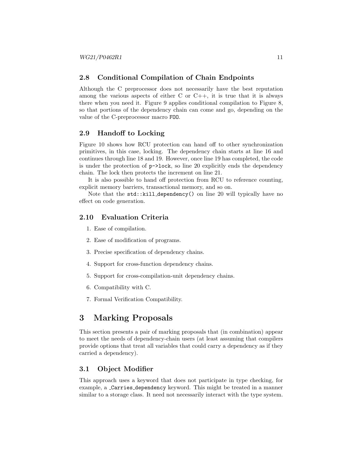### 2.8 Conditional Compilation of Chain Endpoints

Although the C preprocessor does not necessarily have the best reputation among the various aspects of either  $C$  or  $C++$ , it is true that it is always there when you need it. Figure [9](#page-11-0) applies conditional compilation to Figure [8,](#page-9-0) so that portions of the dependency chain can come and go, depending on the value of the C-preprocessor macro FOO.

## 2.9 Handoff to Locking

Figure [10](#page-12-0) shows how RCU protection can hand off to other synchronization primitives, in this case, locking. The dependency chain starts at line 16 and continues through line 18 and 19. However, once line 19 has completed, the code is under the protection of p->lock, so line 20 explicitly ends the dependency chain. The lock then protects the increment on line 21.

It is also possible to hand off protection from RCU to reference counting, explicit memory barriers, transactional memory, and so on.

Note that the  $std::kill$  dependency() on line 20 will typically have no effect on code generation.

### 2.10 Evaluation Criteria

- 1. Ease of compilation.
- 2. Ease of modification of programs.
- 3. Precise specification of dependency chains.
- 4. Support for cross-function dependency chains.
- 5. Support for cross-compilation-unit dependency chains.
- 6. Compatibility with C.
- 7. Formal Verification Compatibility.

## 3 Marking Proposals

This section presents a pair of marking proposals that (in combination) appear to meet the needs of dependency-chain users (at least assuming that compilers provide options that treat all variables that could carry a dependency as if they carried a dependency).

### <span id="page-10-0"></span>3.1 Object Modifier

This approach uses a keyword that does not participate in type checking, for example, a Carries dependency keyword. This might be treated in a manner similar to a storage class. It need not necessarily interact with the type system.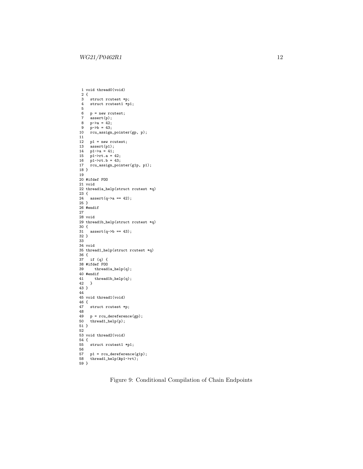```
1 void thread0(void)
  2 {
3 struct rcutest *p;
 4 struct rcutest1 *p1;
 5
 6 p = new \text{ cutest};<br>7 assert(n):assert(p);
  8 p->a = 42;
9 p->b = 43;
10 rcu_assign_pointer(gp, p);
11
12 p1 = new rcutest;<br>13 assert(p1);assert(p1);
14 p1-\lambda a = 41;<br>15 p1-\lambda rt.a =15 p1->rt.a = 42;
16 p1->rt.b = 43;
17 rcu_assign_pointer(g1p, p1);
18 }
19
20 #ifdef FOO
21 void
22 thread1a_help(struct rcutest *q)
23 {
 24 assert(q->a == 42);
25 }
26 #endif
27
28 void
29 thread1b_help(struct rcutest *q)
30 {
31 assert(q->b == 43);32 }
33
34 void
35 thread1_help(struct rcutest *q)
36 {
 37 if (q) {
38 #ifdef FOO
39 thread1a_help(q);
40 #endif<br>41 \frac{1}{2} thr
     {\tt thread1b\_help(q)}\,;42 }
43 }
44
45 void thread1(void)
\begin{array}{c} 46 \\ 47 \end{array}struct rcutest *p;
48
49 p = rcu\_derference(gp);<br>50 thread1\_help(p);thread1_help(p);
51}
52
53 void thread2(void)
54 {<br>55struct rcutest1 *p1;
56<br>57
      p1 = rcu\_derference(g1p);thread1_help(&p1->rt);
\frac{58}{59}
```
Figure 9: Conditional Compilation of Chain Endpoints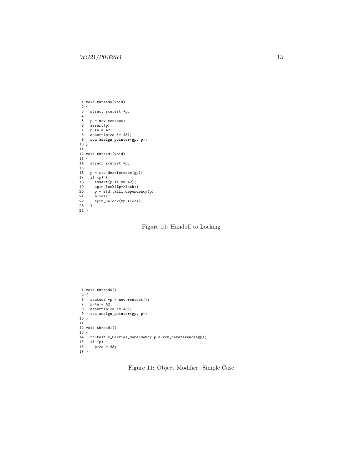```
1 void thread0(void)
 2 {
 3 struct rcutest *p;
  4
 5 p = new rcutest;<br>6 assert(p);
       .<br>assert(p);
 7 \quad p-\geq a = 42;8 \overline{\text{assert}}(p-\text{>a}!=43);<br>9 \overline{\text{rcu\_assign\_pointer}}(p)rcu_assign_pointer(gp, p);
10 }
 11
12 void thread1(void)
 13 {
14 struct rcutest *p;
15
 16 p = rcu_dereference(gp);
17 if (p) {
 18 assert(p->a == 42);
19 spin_lock(&p->lock);
20 p = std::kill_dependency(p);
19 \begin{array}{r} \n\text{spin\_loo} \\
20 \quad p = \text{std} \\
21 \quad p \rightarrow a++;\n\end{array}22 spin_unlock(&p->lock);
23 }
24 }
```
Figure 10: Handoff to Locking

```
1 void thread0()
 2 {
3 rcutest *p = new rcutest();
7 p->a = 42;
8 assert(p->a != 43);<br>9 rcu assign pointer(
   9 rcu_assign_pointer(gp, p);
10 }
11
12 void thread1()
13 {
14 rcutest *_Carries_dependency p = rcu_dereference(gp);
15 if (p)
16 p->a = 43;
17 }
```
Figure 11: Object Modifier: Simple Case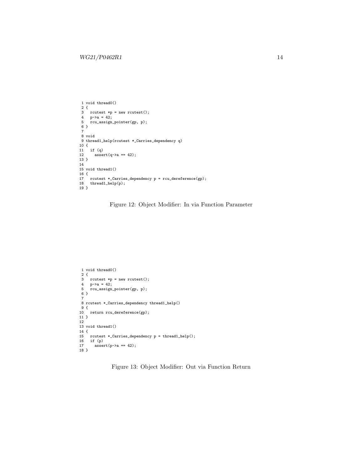```
1 void thread0()
  2 {
3 rcutest *p = new rcutest();
4 p->a = 42;
5 rcu_assign_pointer(gp, p);
\frac{1}{5} rcu_assign_pointer(gp, p);<br>6 }
7
8 void
9 thread1_help(rcutest *_Carries_dependency q)
10 {
11 if (q)
12 \text{assert}(q-\text{2}) = 42;13 }
14
15 void thread1()
16 \{17 rcutest *_Carries_dependency p = rcu_dereference(gp);<br>18 thread1_help(p);
     thread1_{help}(p);
19 }
```
Figure 12: Object Modifier: In via Function Parameter

```
1 void thread0()
 2 {
3 rcutest *p = new rcutest();
 4 p->a = 42;
5 rcu_assign_pointer(gp, p);
6 }
7
8 rcutest *_Carries_dependency thread1_help()
9 {
10 return rcu_dereference(gp);
11 }
12
13 void thread1()
14 {
15 rcutest *_Carries_dependency p = thread1_help();
16 if (p)
17 \quad assert(p->a == 42);
18 }
```
Figure 13: Object Modifier: Out via Function Return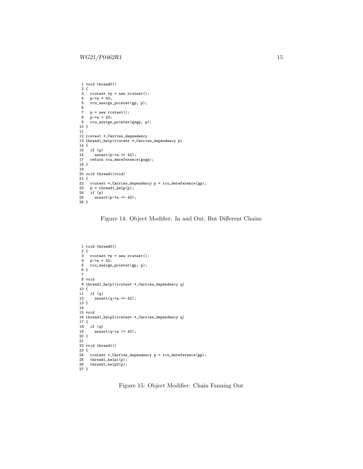```
1 void thread0()
 \begin{smallmatrix} 2 & \{\cr 3 & \end{smallmatrix}rcutest *p = new rcutest();
 4 p-\geq a = 42;<br>5 rcu_assign5 rcu_assign_pointer(gp, p);
 6
7   p = new rcutest();<br>8  p \rightarrow a = 43;
 8 p->a = 43;
9 rcu_assign_pointer(gsgp, p);
10 }
11
12 rcutest *_Carries_dependency
13 thread1_help(rcutest *_Carries_dependency p)
\begin{array}{c} 14 \\ 15 \end{array}\begin{array}{cc} 15 & \text{if (p)} \\ 16 & \text{asse} \end{array}16 \text{assert}(p-\lambda a == 42);<br>17 return rcu_dereference
      return rcu_dereference(gsgp);
18 }
19
20 void thread1(void)
21 {
22 rcutest *_Carries_dependency p = rcu_dereference(gp);<br>23 p = thread1_{help}(p);23 p = \text{thread1}_{\text{help}(p)};<br>24 if (p)
24 if (p)<br>25 asset
           assert(p-\geq a == 43);26 }
```
Figure 14: Object Modifier: In and Out, But Different Chains

```
1 void thread0()
2 {
3 rcutest *p = new \text{rcutest}();<br>4 p - \lambda a = 42;
4 p->a = 42;<br>5 rcu assign
     5 rcu_assign_pointer(gp, p);
6 }
7
8 void
9 thread1_help1(rcutest *_Carries_dependency q)
10 {
11 if (q)
      assert(q-\lambda a == 42);13 }
14
15 void
16 thread1_help2(rcutest *_Carries_dependency q)
17 {
18 if (q)
       assert(q-\lambda a != 43);20 }
21
22 void thread1()
23 {
24 rcutest *_Carries_dependency p = rcu_dereference(gp);<br>25 thread1_help1(p);
25 thread1_help1(p);<br>26 thread1_help2(p);
     thread1_{help2(p)};
27 }
```
Figure 15: Object Modifier: Chain Fanning Out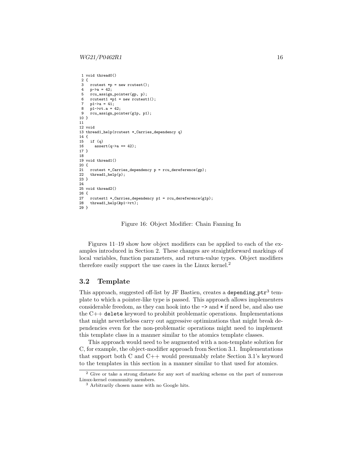```
1 void thread0()
 2 \t3rcutest *p = new rcutest();
 4 p-\gea = 42;<br>5 rcu assign
      5 rcu_assign_pointer(gp, p);
 6 rcutest1 *pi = new rcutest1();
 7 p1 - \ge a = 41;
 8 p1->rt.a = 42;
 9 rcu_assign_pointer(g1p, p1);
10 }
11
12 void
13 thread1_help(rcutest *_Carries_dependency q)
14 {
15 if (q)<br>16 asse
         assert(q-\lambda a == 42);17 }
18
19 void thread1()
20 \t{21}21 rcutest *_Carries_dependency p = rcu_dereference(gp);<br>22 thread1 help(p):
      thread1_help(p);
23 }
24
25 void thread2()
\begin{array}{c} 26 \\ 27 \end{array}27 rcutest1 *_{\text{Carries\_dependency}} p1 = rcu_{\text{dereference}}(g1p);<br>28 thread1_help(&p1->rt);
      thread1_help(&p1->rt);
29 }
```
Figure 16: Object Modifier: Chain Fanning In

Figures [11](#page-12-1)[–19](#page-18-0) show how object modifiers can be applied to each of the examples introduced in Section [2.](#page-2-0) These changes are straightforward markings of local variables, function parameters, and return-value types. Object modifiers therefore easily support the use cases in the Linux kernel.[2](#page-15-1)

### <span id="page-15-0"></span>3.2 Template

This approach, suggested off-list by JF Bastien, creates a depending  $ptr^3$  $ptr^3$  template to which a pointer-like type is passed. This approach allows implementers considerable freedom, as they can hook into the -> and \* if need be, and also use the C++ delete keyword to prohibit problematic operations. Implementations that might nevertheless carry out aggressive optimizations that might break dependencies even for the non-problematic operations might need to implement this template class in a manner similar to the atomics template classes.

This approach would need to be augmented with a non-template solution for C, for example, the object-modifier approach from Section [3.1.](#page-10-0) Implementations that support both C and  $C++$  would presumably relate Section [3.1'](#page-10-0)s keyword to the templates in this section in a manner similar to that used for atomics.

<span id="page-15-1"></span><sup>2</sup> Give or take a strong distaste for any sort of marking scheme on the part of numerous Linux-kernel community members.

<span id="page-15-2"></span><sup>3</sup> Arbitrarily chosen name with no Google hits.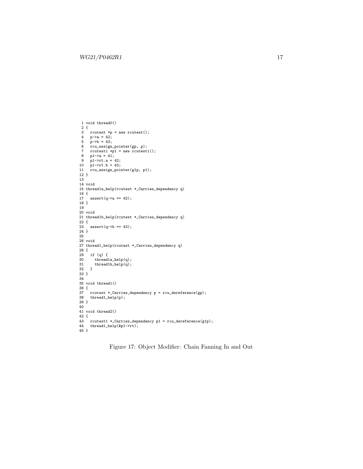```
1 void thread0()
2 {
3 rcutest *p = new rcutest();
 4 p->a = 42;
5 p->b = 43;
 6 rcu_assign_pointer(gp, p);
7 rcutest1 *p1 = new rcutest1();
8 p1 - \ge a = 41;
9 p1->rt.a = 42;
10 p1->rt.b = 43;
11 rcu_assign_pointer(g1p, p1);
12 }
13
14 void
15 thread1a_help(rcutest *_Carries_dependency q)
16 {
17 assert(q->a == 42);
18 }
19
20 void
21 thread1b_help(rcutest *_Carries_dependency q)
22 {
23 assert(q->b == 43);24 }
25
26 void
27 thread1_help(rcutest *_Carries_dependency q)
28 {
29 if (q) {
30 thread1a_{help(q)};<br>31 thread1b_{help(q)};
     thread1b_{help(q)};
32 }
33 }
34
35 void thread1()
36 {
37 rcutest *_Carries_dependency p = rcu_dereference(gp);<br>38 thread1_help(p);
    thread1_help(p);
39 }
40
41 void thread2()
42 {
43 rcutest1 *_Carries_dependency p1 = rcu_dereference(g1p);<br>44 thread1_help(&p1->rt);
     thread1_help(&p1->rt);
45 }
```
Figure 17: Object Modifier: Chain Fanning In and Out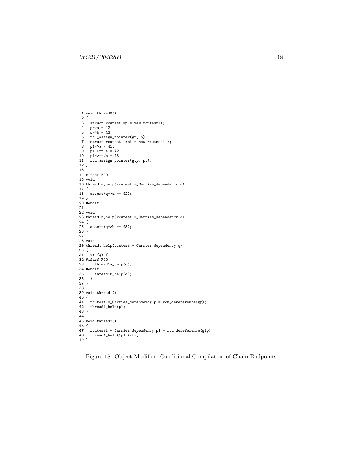```
1 void thread0()
2 {
3 struct rcutest *p = new rcutest();
4 p->a = 42;<br>5 n->b = 43:
  5 p->b = 43;
6 rcu_assign_pointer(gp, p);
7 struct rcutest1 *p1 = new \text{rcutest1};
8 p1-\lambda a = 41;<br>
9 p1-\lambda rt.a = 42;<br>
10 p1-\lambda rt.b = 43;
11 rcu_assign_pointer(g1p, p1);
12 }
13
14 #ifdef FOO
15 void
16 thread1a_help(rcutest *_Carries_dependency q)
17 {
18 assert(q-\geq a == 42);19 }
20 #endif
21
22 void
23 thread1b_help(rcutest *_Carries_dependency q)
24 {
25 assert(q->b == 43);26 }
27
28 void
29 thread1_help(rcutest *_Carries_dependency q)
30 {
31 if (q) {
32 #ifdef FOO
   thread1a_help(q);
\begin{array}{cc}\n34 & \text{f4endif} \\
35 & \text{th1}\n\end{array}{\rm thread1b\_help(q)}\,;36 }
37 }
38
39 void thread1()
40 {
41 rcutest *_Carries_dependency p = rcu_dereference(gp);
42 thread1_help(p);
43 }
44
45 void thread2()
46 \text{ } 447 rcutest1 *_Carries_dependency p1 = rcu_dereference(g1p);<br>48 thread1 help(&p1->rt):
    thread1_help(&p1->rt);
49<sup>1</sup>
```
Figure 18: Object Modifier: Conditional Compilation of Chain Endpoints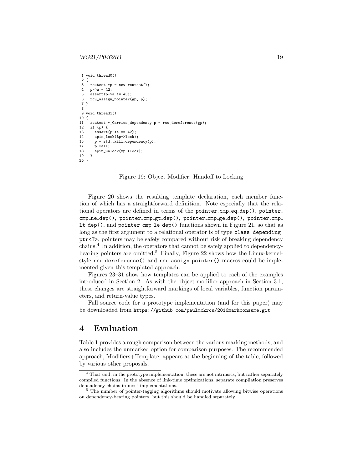#### $WG21/P0462R1$  19

```
1 void thread0()
2 \t3rcutest *p = new rcutest();
4 p->a = 42;<br>5 assert (n->s
     \frac{1}{\text{assert}}(\text{p} - \text{ba} \neq 43);6 rcu_assign_pointer(gp, p);
7 }
8
9 void thread1()
10 {
11 rcutest *_Carries_dependency p = rcu_dereference(gp);
12 if (p) {
        assert(p-\geq a == 42):
14 spin_lock(&p->lock);
15 p = std::kill\_dependency(p);<br>17 p> a++p->a++:
18 spin_unlock(&p->lock);<br>19 }
19 }
20 }
```
### Figure 19: Object Modifier: Handoff to Locking

Figure [20](#page-19-0) shows the resulting template declaration, each member function of which has a straightforward definition. Note especially that the relational operators are defined in terms of the pointer cmp eq  $\text{dep}()$ , pointer cmp\_ne\_dep(), pointer\_cmp\_gt\_dep(), pointer\_cmp\_ge\_dep(), pointer\_cmp\_ lt dep(), and pointer cmp le dep() functions shown in Figure [21,](#page-20-0) so that as long as the first argument to a relational operator is of type class depending. ptr<T>, pointers may be safely compared without risk of breaking dependency chains.[4](#page-18-1) In addition, the operators that cannot be safely applied to dependency-bearing pointers are omitted.<sup>[5](#page-18-2)</sup> Finally, Figure [22](#page-20-1) shows how the Linux-kernelstyle rcu dereference() and rcu assign pointer() macros could be implemented given this templated approach.

Figures [23](#page-21-0)[–31](#page-28-0) show how templates can be applied to each of the examples introduced in Section [2.](#page-2-0) As with the object-modifier approach in Section [3.1,](#page-10-0) these changes are straightforward markings of local variables, function parameters, and return-value types.

Full source code for a prototype implementation (and for this paper) may be downloaded from https://github.com/paulmckrcu/2016markconsume.git.

## 4 Evaluation

Table [1](#page-27-0) provides a rough comparison between the various marking methods, and also includes the unmarked option for comparison purposes. The recommended approach, Modifiers+Template, appears at the beginning of the table, followed by various other proposals.

<span id="page-18-1"></span><sup>&</sup>lt;sup>4</sup> That said, in the prototype implementation, these are not intrinsics, but rather separately compiled functions. In the absence of link-time optimizations, separate compilation preserves dependency chains in most implementations.

<span id="page-18-2"></span><sup>&</sup>lt;sup>5</sup> The number of pointer-tagging algorithms should motivate allowing bitwise operations on dependency-bearing pointers, but this should be handled separately.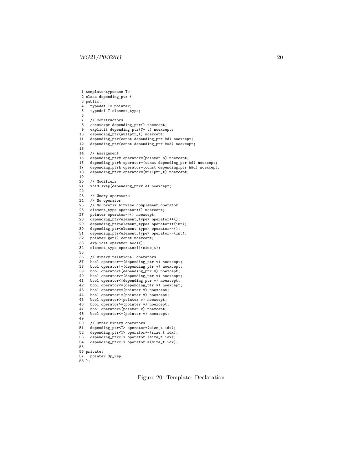```
1 template<typename T>
 2 class depending_ptr {
 3 public:
 4 typedef T* pointer;<br>5 typedef T element t
        typedef T element_type;
 6
 7 // Constructors
 8 constexpr depending_ptr() noexcept;<br>9 explicit depending ptr(T* v) noexce
9 explicit depending_ptr(T* v) noexcept;<br>10 depending_ptr(nullptr_t) noexcept;
10 depending_ptr(nullptr_t) noexcept;<br>11 depending_ptr(const depending_ptr
11 depending_ptr(const depending_ptr &d) noexcept;<br>12 depending_ptr(const depending_ptr &&d) noexcept
       depending_ptr(const depending_ptr &&d) noexcept;
13
14 // Assignment<br>15 depending_ptr
15 depending_ptr & operator=(pointer p) noexcept;<br>16 depending_ptr & operator=(const depending_ptr
16 depending_ptr & operator=(const depending_ptr &d) noexcept;<br>17 depending_ptr & operator=(const depending_ptr & &d) noexcept
17 depending_ptr& operator=(const depending_ptr &&d) noexcept;<br>18 depending_ptr& operator=(nullptr_t) noexcept;
        depending_ptr& operator=(nullptr_t) noexcept;
19
20 // Modifiers<br>21 void swap(dep
        void swap(depending_ptr& d) noexcept;
22
23 // Unary operators<br>24 // No operator!
24 // No operator!<br>25 // No prefix bi
25 // No prefix bitwise complement operator<br>26 element_type operator*() noexcept;
26 element_type operator*() noexcept;<br>27 pointer operator->() noexcept;
27 pointer operator->() noexcept;<br>28 depending_ptr<element_type> op
28 depending_ptr<element_type> operator++();
29 depending_ptr<element_type> operator++(int);
30 depending_ptr<element_type> operator--();<br>31 depending_ptr<element_type> operator--(in
31 depending_ptr<element_type> operator--(int);<br>32 pointer get() const noexcept;
32 pointer get() const noexcept;<br>33 explicit operator bool();
33 explicit operator bool();<br>34 element_type operator[](s:
        shprided by the source,
35<br>36
36 // Binary relational operators
37 bool operator==(depending_ptr v) noexcept;
38 bool operator!=(depending_ptr v) noexcept;
39 bool operator>(depending_ptr v) noexcept;<br>40 bool operator>=(depending ptr v) noexcept;
        bool operator>=(depending_ptr v) noexcept;
41 bool operator<(depending_ptr v) noexcept;<br>42 bool operator<=(depending ptr v) noexcept
42 bool operator <= (depending_ptr v) noexcept;<br>43 bool operator == (pointer v) noexcept;
        bool operator==(pointer v) noexcept;
44 bool operator!=(pointer v) noexcept;<br>45 bool operator>(pointer v) noexcept;
        bool operator>(pointer v) noexcept;
46 bool operator>=(pointer v) noexcept;<br>47 bool operator<(pointer v) noexcept;
47 bool operator<(pointer v) noexcept;<br>48 bool operator<=(pointer v) noexcept
       bool operator<=(pointer v) noexcept;
49<br>50
50 // Other binary operators<br>51 depending ptr<T> operator+
51 depending_ptr<T> operator+(size_t idx);<br>52 depending_ptr<T> operator+=(size_t idx)
52 depending_ptr<T> operator+=(size_t idx);<br>53 depending ptr<T> operator-(size t idx);
53 depending_ptr<T> operator-(size_t idx);<br>54 depending_ptr<T> operator-=(size_t idx)
       depending_ptr<T> operator-=(size_t idx);
55
56 private:
      pointer dp_rep;
```

```
58 };
```
Figure 20: Template: Declaration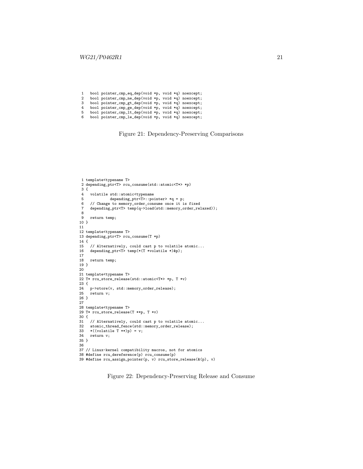<span id="page-20-0"></span>1 bool pointer\_cmp\_eq\_dep(void \*p, void \*q) noexcept;<br>2 bool pointer\_cmp\_ne\_dep(void \*p, void \*q) noexcept; 2 bool pointer\_cmp\_ne\_dep(void \*p, void \*q) noexcept;<br>3 bool pointer\_cmp\_gt\_dep(void \*p, void \*q) noexcept; 3 bool pointer\_cmp\_gt\_dep(void \*p, void \*q) noexcept;<br>4 bool pointer\_cmp\_ge\_dep(void \*p, void \*q) noexcept; 4 bool pointer\_cmp\_ge\_dep(void \*p, void \*q) noexcept;<br>5 bool pointer\_cmp\_lt\_dep(void \*p, void \*q) noexcept; 5 bool pointer\_cmp\_lt\_dep(void \*p, void \*q) noexcept; 6 bool pointer\_cmp\_le\_dep(void \*p, void \*q) noexcept;

Figure 21: Dependency-Preserving Comparisons

```
1 template<typename T>
 2 depending_ptr<T> rcu_consume(std::atomic<T*> *p)
\frac{3}{4}volatile std::atomic<typename
 5 depending_ptr<T>::pointer> *q = p;
6 // Change to memory_order_consume once it is fixed
7 depending_ptr<T> temp(q->load(std::memory_order_relaxed));
8
     return temp;
10 }
11
12 template<typename T>
13 depending_ptr<T> rcu_consume(T *p)
14 {
15 // Alternatively, could cast p to volatile atomic...
16 depending_ptr<T> temp(*(T *volatile *)&p);
17
18 return temp;
19 }
20
21 template<typename T>
22 T* rcu_store_release(std::atomic<T*> *p, T *v)
23 {
24 p->store(v, std::memory_order_release);<br>25 return v:
     return v;
26 }
27
28 template<typename T>
29 T* rcu_store_release(T **p, T *v)
30 {
31 // Alternatively, could cast p to volatile atomic...<br>32 atomic_thread_fence(std::memory_order_release);
32 atomic_thread_fence(std::memory_order_release);<br>33 *((volatile T **)p) = v:
33 *(\text{volatile } T **)p) = v;<br>34 return v;
    return v;
35 }
36
37 // Linux-kernel compatibility macros, not for atomics
38 #define rcu_dereference(p) rcu_consume(p)
39 #define rcu_assign_pointer(p, v) rcu_store_release(&(p), v)
```
Figure 22: Dependency-Preserving Release and Consume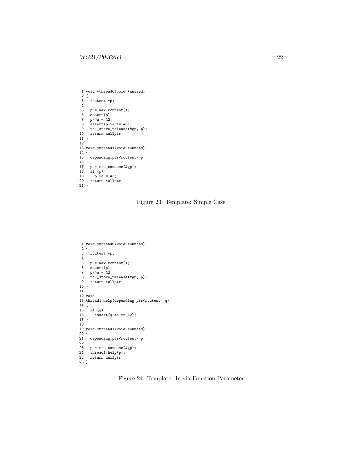```
1 void *thread0(void *unused)
 2 {
 3 rcutest *p;
 4
 5 p = new rcutest();
6 assert(p);<br>
7 n->a = 42:
     p - >a = 42;8 assert(p->a != 43);
9 rcu_store_release(&gp, p);
10 return nullptr;
11 }
12
13 void *thread1(void *unused)
\begin{array}{c} 14 \\ 15 \end{array}depending_ptr<rcutest> p;
\frac{16}{17}17 p = rcu\_cosume(kgp);<br>18 if (p)18 if (p)
19 p-\lambda a = 43;<br>20 return nullpt
    return nullptr;
21 }
```
Figure 23: Template: Simple Case

```
1 void *thread0(void *unused)
 2 {
 3 rcutest *p;
 4
 5   p = new rcutest();
  6 assert(p);
7 p->a = 42;
  8 rcu_store_release(&gp, p);
9 return nullptr;
10 }
11
12 void
13 thread1_help(depending_ptr<rcutest> q)
\begin{array}{cc} 14 & \{ \\ 15 & \end{array}15 if (q)
        assert(q-\lambda a == 42);17 }
18
 19 void *thread1(void *unused)
20 {
21 depending_ptr<rcutest> p;
22
23 p = rcu\_cosume(kgp);<br>
24 thread1_{help}(p);thread1_help(p);
 25 return nullptr;
26 }
```
Figure 24: Template: In via Function Parameter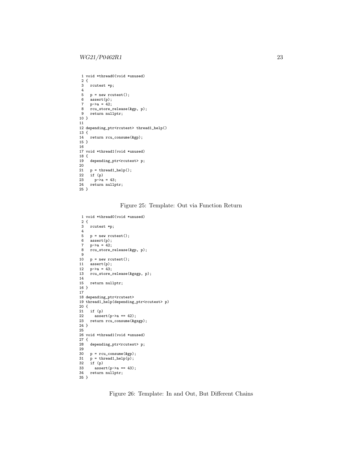```
1 void *thread0(void *unused)
\frac{2}{3} {
       rcutest *p;
 \begin{array}{c} 4 \\ 5 \end{array}p = new rcutest();
 6 assert(p);<br>
7 p-\geq a = 42;
 7 p-\gea = 42;<br>8 rcu store
8 rcu_store_release(&gp, p);<br>9 return nullptr:
      return nullptr;
10 }
11
12 depending_ptr<rcutest> thread1_help()
\begin{array}{c} 13 \\ 14 \end{array}return rcu_consume(&gp);
15 }
16
17 void *thread1(void *unused)
18 {
       depending_ptr<rcutest> p;
\begin{array}{c} 20 \\ 21 \end{array}21 p = \text{thread1}_{\text{help}}();<br>22 if (p)22 if (p)<br>23 p-\lambda ap - a = 43;24 return nullptr;
25 }
```
Figure 25: Template: Out via Function Return

```
1 void *thread0(void *unused)
 \begin{smallmatrix} 2 & \{ \\ 3 & \end{smallmatrix}rcutest *p;
 \frac{4}{5}5 p = new rcutest();<br>6 assert(p);
 6 \text{assert}(p);<br>
7 p-\geq a = 42;
 7 p-\gea = 42;<br>8 rcu_store_
       .<br>rcu_store_release(&gp, p);
 9
10 p = new rcutest();<br>11 assert(p);\overline{\mathsf{assert}}(p);
12 p-\lambda a = 43;<br>13 rcu\_store\_.<br>rcu_store_release(&gsgp, p);
\frac{14}{15}return nullptr;
16 }
17
18 depending_ptr<rcutest>
19 thread1_help(depending_ptr<rcutest> p)
20 {
21 if (p)<br>22 asser
22 assert(p-\ge a == 42);<br>23 return rcu_consume(\&g_3return rcu_consume(&gsgp);
 24 }
25
26 void *thread1(void *unused)
27 {
       depending_ptr<rcutest> p;
29
 30 p = rcu_consume(&gp);
31 p = thread1_help(p);
32 \quad \text{if (p)}<br>33 \quad \text{asse}33 \text{assert}(p-\lambda a == 43);<br>34 return nullptr;
      return nullptr;
35 }
```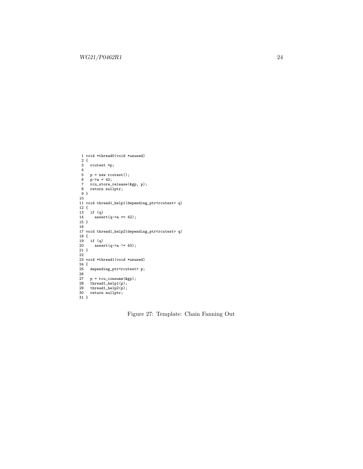```
1 void *thread0(void *unused)
 2 {
 3 rcutest *p;
 4
  5 p = new rcutest();
6 p->a = 42;
  7 rcu_store_release(&gp, p);
8 return nullptr;
9 }
10
11 void thread1_help1(depending_ptr<rcutest> q)
 12 {
13 if (q)
14 \arctan(q-\lambda a == 42);15 }
16
17 void thread1_help2(depending_ptr<rcutest> q)
 18 {
19 if (q)
         assert(q-\lambda a != 43);\begin{array}{c} 20 \\ 21 \end{array}22
 23 void *thread1(void *unused)
24 {
25 depending_ptr<rcutest> p;
\frac{26}{26}27 p = rcu_consume(&gp);
28 thread1_help1(p);
29 thread1_help2(p);
30 return nullptr;
31 }
```
Figure 27: Template: Chain Fanning Out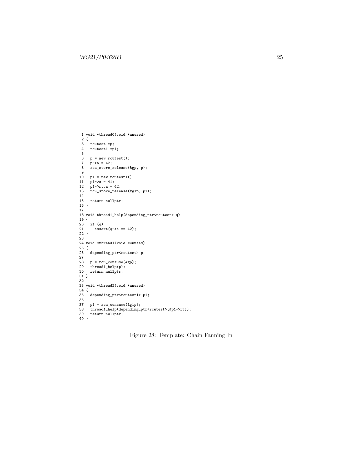```
1 void *thread0(void *unused)
  2 {
3 rcutest *p;
4 rcutest1 *p1;
 5
 6 p = new rcutest();
  7 p->a = 42;
8 rcu_store_release(&gp, p);
 9
 10 p1 = new rcutest1();
11 p1->a = 41;
12 p1->rt.a = 42;
13 rcu_store_release(&g1p, p1);
14
     return nullptr;
\begin{array}{c} 15 \\ 16 \\ 17 \end{array}17
18 void thread1_help(depending_ptr<rcutest> q)
19 {
20 if (q)assert(q-\lambda a == 42);\begin{array}{c} 21 \\ 22 \end{array} }
 23
24 void *thread1(void *unused)
25 \t{25}depending_ptr<rcutest> p;
26<br>27
28 p = rcu_consume(&gp);<br>29 thread1_help(p);<br>30 return nullptr;
       thread1_{help}(p);
     return nullptr;
31 }
32
33 void *thread2(void *unused)
34 {
       depending_ptr<rcutest1> p1;
36<br>37
 37 p1 = rcu_consume(&g1p);
38 thread1_help(depending_ptr<rcutest>(&p1->rt));
39 return nullptr;
40 }
```
Figure 28: Template: Chain Fanning In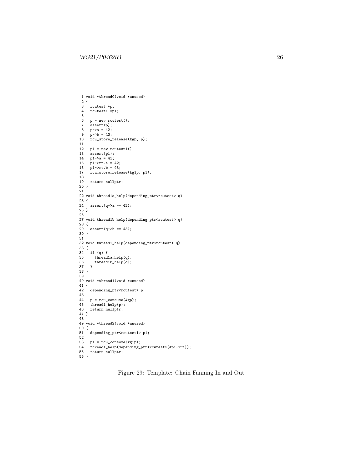```
1 void *thread0(void *unused)
  2 {
3 rcutest *p;
4 rcutest1 *p1;
 \begin{array}{c}5\\6\end{array}6 p = new rcutest();<br>7 assert(p);7 \text{assert}(p);<br>8 p-\geq a = 42;
8 p-\lambda a = 42;<br>9 p-\lambda b = 43;
9 p->b = 43;
10 rcu_store_release(&gp, p);
11
12 p1 = new \text{rcutest1};<br>13 assert(p1);13 assert(p1);
14 p1->a = 41;
15 p1->rt.a = 42;
16 p1->rt.b = 43;
17 rcu_store_release(&g1p, p1);
18
     return nullptr;
20 }
21
22 void thread1a_help(depending_ptr<rcutest> q)
23 \t{24}\text{assert}(q \rightarrow a == 42);25 \; }
26
27 void thread1b_help(depending_ptr<rcutest> q)
28 {
29 assert(q->b == 43);
30 }
31
32 void thread1_help(depending_ptr<rcutest> q)
\begin{array}{c} 33 \ \ 4 \\ 34 \end{array}34 if (q) {
          thread1a_help(q);
36 \qquad \text{thread1b\_help(q)}\,; \\37 \qquad \}37 \,38 }
39
40 void *thread1(void *unused)
\begin{array}{cc} 41 & \{ \\ 42 & \end{array}depending_ptr<rcutest> p;
43
44 p = rcu\_cosume(kgp);<br>45 thread1_help(p);
45 thread1_help(p);<br>46 return nullptr;
       return nullptr;
47 }
48
49 void *thread2(void *unused)
50 {
       depending_ptr<rcutest1> p1;
52
53 p1 = rcu_consume(&g1p);
54 thread1_help(depending_ptr<rcutest>(&p1->rt));
55 return nullptr;
56 }
```
Figure 29: Template: Chain Fanning In and Out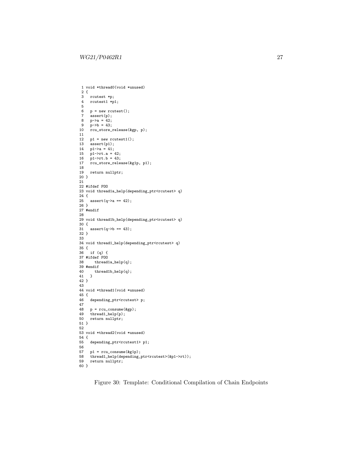```
1 void *thread0(void *unused)
 \begin{smallmatrix} 2 & \{ \\ 3 & \end{smallmatrix}3 rcutest *p;<br>4 rcutest1 *p;
     4 rcutest1 *p1;
 5
 6 p = new rcutest();<br>7 assert(p);assert(p);
 8 p - \ge a = 42;
9 p->b = 43;
10 rcu_store_release(&gp, p);
11
12 p1 = new rcutest1();<br>13 assert(p1);.<br>assert(p1);
14 p1-\ge a = 41;
15 p1->rt.a = 42;
16 p1->rt.b = 43;
17 rcu_store_release(&g1p, p1);
18
    return nullptr;
20 }
21
22 #ifdef FOO
23 void thread1a_help(depending_ptr<rcutest> q)
24 {<br>25
     assert(q-\lambda a == 42);26 }
27 #endif
28
29 void thread1b_help(depending_ptr<rcutest> q)
30 {
31 assert(q->b == 43);
32 }
33
34 void thread1_help(depending_ptr<rcutest> q)
35 {
36 if (q) {
37 #ifdef FOO
38 thread1a_help(q);
39 #endif<br>40 th
     {\rm thread1b\_help(q)}\,;41 }
42 }
43
44 void *thread1(void *unused)
45 {
46 depending_ptr<rcutest> p;
47
48 p = rcu\_cosume(kgp);<br>49 thread1_help(p);
49 thread1_help(p);
50 return nullptr;
51 }
52
53 void *thread2(void *unused)
54 {
55 depending_ptr<rcutest1> p1;
56
57 p1 = rcu\_cosume(kg1p);<br>58 thread1_help(depending_
58 thread1_help(depending_ptr<rcutest>(&p1->rt));<br>59 return nullptr;
      return nullptr;
60 }
```
Figure 30: Template: Conditional Compilation of Chain Endpoints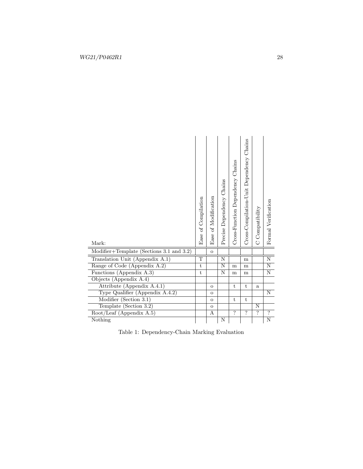<span id="page-27-0"></span>

| Mark:                                         | Ease of Compilation | Ease of Modification | Precise Dependency Chains | Cross-Function Dependency Chains | Cross-Compilation-Unit Dependency Chains | C Compatibility | Formal Verification |
|-----------------------------------------------|---------------------|----------------------|---------------------------|----------------------------------|------------------------------------------|-----------------|---------------------|
| Modifier+Template (Sections $3.1$ and $3.2$ ) |                     | $\overline{O}$       |                           |                                  |                                          |                 |                     |
| Translation Unit (Appendix A.1)               | $\mathbf T$         |                      | N                         |                                  | ${\bf m}$                                |                 | $\rm N$             |
| Range of Code (Appendix A.2)                  | t.                  |                      | N                         | m                                | m                                        |                 | $\overline{\rm N}$  |
| Functions (Appendix A.3)                      | $\mathbf t$         |                      | N                         | m                                | m                                        |                 | Ν                   |
| Objects (Appendix A.4)                        |                     |                      |                           |                                  |                                          |                 |                     |
| Attribute (Appendix A.4.1)                    |                     | $\circ$              |                           | t                                | t                                        | a               |                     |
| Type Qualifier (Appendix A.4.2)               |                     | $\mathbf O$          |                           |                                  |                                          |                 | N                   |
| Modifier (Section 3.1)                        |                     | $\mathbf{o}$         |                           | t                                | t                                        |                 |                     |
| Template (Section 3.2)                        |                     | $\overline{O}$       |                           |                                  |                                          | N               |                     |
| $Root/Leaf$ (Appendix A.5)                    |                     | A                    |                           | $\overline{2}$                   | $\overline{2}$                           | $\overline{?}$  | $\overline{?}$      |
| Nothing                                       |                     |                      | Ν                         |                                  |                                          |                 | N                   |

|  |  | Table 1: Dependency-Chain Marking Evaluation |  |
|--|--|----------------------------------------------|--|
|--|--|----------------------------------------------|--|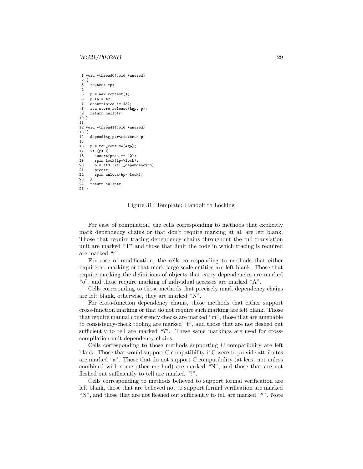```
1 void *thread0(void *unused)
2 \t3rcutest *p;
\frac{4}{5}p = new rcutest():
6 p - \ge a = 42;
7 assert(p->a != 43);
8 rcu_store_release(&gp, p);
9 return nullptr;
10 }
11
12 void *thread1(void *unused)
13 {
14 depending_ptr<rcutest> p;
\frac{15}{16}p = rcu_{consume}(kgp);17 if (p) {
        assert(p-\lambda a == 42);19 spin_lock(&p->lock);<br>20 p = std::kill_depend
20 p = std::kill_dependency(p);<br>21 p \rightarrow a++:
21 p-\lambda a+1;<br>22 spin un
      spin_unlock(&p->lock);
23 }
      return nullptr;
25 }
```
Figure 31: Template: Handoff to Locking

For ease of compilation, the cells corresponding to methods that explicitly mark dependency chains or that don't require marking at all are left blank. Those that require tracing dependency chains throughout the full translation unit are marked "T" and those that limit the code in which tracing is required are marked "t".

For ease of modification, the cells corresponding to methods that either require no marking or that mark large-scale entities are left blank. Those that require marking the definitions of objects that carry dependencies are marked "o", and those require marking of individual accesses are marked "A".

Cells corresonding to those methods that precisely mark dependency chains are left blank, otherwise, they are marked "N".

For cross-function dependency chains, those methods that either support cross-function marking or that do not require such marking are left blank. Those that require manual consistency checks are marked "m", those that are amenable to consistency-check tooling are marked "t", and those that are not fleshed out sufficiently to tell are marked "?". These same markings are used for crosscompilation-unit dependency chains.

Cells corresponding to those methods supporting C compatibility are left blank. Those that would support C compatibility if C were to provide attributes are marked "a". Those that do not support C compatibility (at least not unless combined with some other method) are marked "N", and those that are not fleshed out sufficiently to tell are marked "?".

Cells corresponding to methods believed to support formal verification are left blank, those that are believed not to support formal verification are marked "N", and those that are not fleshed out sufficiently to tell are marked "?". Note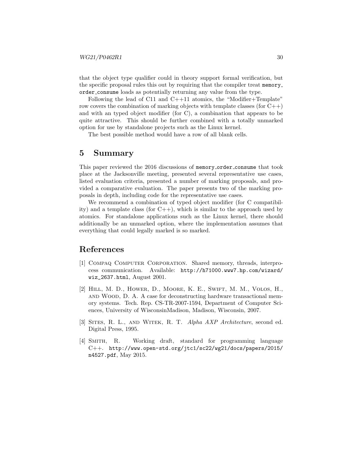that the object type qualifier could in theory support formal verification, but the specific proposal rules this out by requiring that the compiler treat memory order consume loads as potentially returning any value from the type.

Following the lead of C11 and  $C++11$  atomics, the "Modifier+Template" row covers the combination of marking objects with template classes (for  $C++$ ) and with an typed object modifier (for C), a combination that appears to be quite attractive. This should be further combined with a totally unmarked option for use by standalone projects such as the Linux kernel.

The best possible method would have a row of all blank cells.

## 5 Summary

This paper reviewed the 2016 discussions of memory order consume that took place at the Jacksonville meeting, presented several representative use cases, listed evaluation criteria, presented a number of marking proposals, and provided a comparative evaluation. The paper presents two of the marking proposals in depth, including code for the representative use cases.

We recommend a combination of typed object modifier (for C compatibility) and a template class (for  $C_{++}$ ), which is similar to the approach used by atomics. For standalone applications such as the Linux kernel, there should additionally be an unmarked option, where the implementation assumes that everything that could legally marked is so marked.

## References

- <span id="page-29-1"></span>[1] Compaq Computer Corporation. Shared memory, threads, interprocess communication. Available: [http://h71000.www7.hp.com/wizard/](http://h71000.www7.hp.com/wizard/wiz_2637.html) [wiz\\_2637.html](http://h71000.www7.hp.com/wizard/wiz_2637.html), August 2001.
- <span id="page-29-3"></span>[2] Hill, M. D., Hower, D., Moore, K. E., Swift, M. M., Volos, H., and Wood, D. A. A case for deconstructing hardware transactional memory systems. Tech. Rep. CS-TR-2007-1594, Department of Computer Sciences, University of WisconsinMadison, Madison, Wisconsin, 2007.
- <span id="page-29-2"></span>[3] SITES, R. L., AND WITEK, R. T. Alpha AXP Architecture, second ed. Digital Press, 1995.
- <span id="page-29-0"></span>[4] Smith, R. Working draft, standard for programming language C++. [http://www.open-std.org/jtc1/sc22/wg21/docs/papers/2015/](http://www.open-std.org/jtc1/sc22/wg21/docs/papers/2015/n4527.pdf) [n4527.pdf](http://www.open-std.org/jtc1/sc22/wg21/docs/papers/2015/n4527.pdf), May 2015.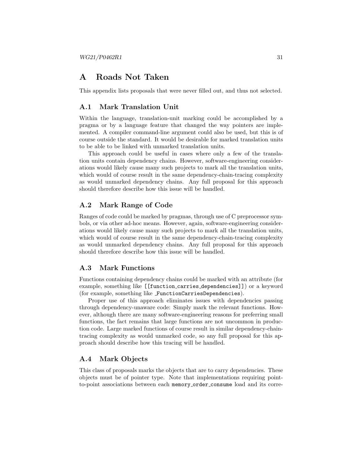## A Roads Not Taken

This appendix lists proposals that were never filled out, and thus not selected.

## <span id="page-30-0"></span>A.1 Mark Translation Unit

Within the language, translation-unit marking could be accomplished by a pragma or by a language feature that changed the way pointers are implemented. A compiler command-line argument could also be used, but this is of course outside the standard. It would be desirable for marked translation units to be able to be linked with unmarked translation units.

This approach could be useful in cases where only a few of the translation units contain dependency chains. However, software-engineering considerations would likely cause many such projects to mark all the translation units, which would of course result in the same dependency-chain-tracing complexity as would unmarked dependency chains. Any full proposal for this approach should therefore describe how this issue will be handled.

## <span id="page-30-1"></span>A.2 Mark Range of Code

Ranges of code could be marked by pragmas, through use of C preprocessor symbols, or via other ad-hoc means. However, again, software-engineering considerations would likely cause many such projects to mark all the translation units, which would of course result in the same dependency-chain-tracing complexity as would unmarked dependency chains. Any full proposal for this approach should therefore describe how this issue will be handled.

## <span id="page-30-2"></span>A.3 Mark Functions

Functions containing dependency chains could be marked with an attribute (for example, something like [[function carries dependencies]]) or a keyword (for example, something like FunctionCarriesDependencies).

Proper use of this approach eliminates issues with dependencies passing through dependency-unaware code: Simply mark the relevant functions. However, although there are many software-engineering reasons for preferring small functions, the fact remains that large functions are not uncommon in production code. Large marked functions of course result in similar dependency-chaintracing complexity as would unmarked code, so any full proposal for this approach should describe how this tracing will be handled.

### <span id="page-30-3"></span>A.4 Mark Objects

This class of proposals marks the objects that are to carry dependencies. These objects must be of pointer type. Note that implementations requiring pointto-point associations between each memory order consume load and its corre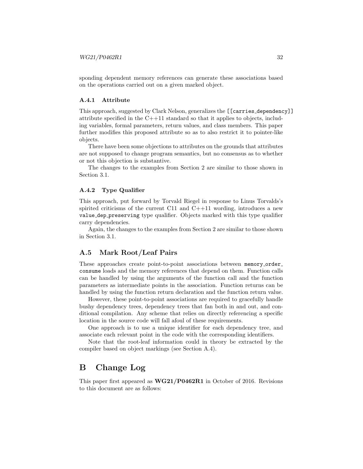sponding dependent memory references can generate these associations based on the operations carried out on a given marked object.

#### <span id="page-31-1"></span>A.4.1 Attribute

This approach, suggested by Clark Nelson, generalizes the [[carries dependency]] attribute specified in the C++11 standard so that it applies to objects, including variables, formal parameters, return values, and class members. This paper further modifies this proposed attribute so as to also restrict it to pointer-like objects.

There have been some objections to attributes on the grounds that attributes are not supposed to change program semantics, but no consensus as to whether or not this objection is substantive.

The changes to the examples from Section [2](#page-2-0) are similar to those shown in Section [3.1.](#page-10-0)

#### <span id="page-31-2"></span>A.4.2 Type Qualifier

This approach, put forward by Torvald Riegel in response to Linus Torvalds's spirited criticisms of the current C11 and C++11 wording, introduces a new value dep preserving type qualifier. Objects marked with this type qualifier carry dependencies.

Again, the changes to the examples from Section [2](#page-2-0) are similar to those shown in Section [3.1.](#page-10-0)

### <span id="page-31-3"></span>A.5 Mark Root/Leaf Pairs

These approaches create point-to-point associations between memory order consume loads and the memory references that depend on them. Function calls can be handled by using the arguments of the function call and the function parameters as intermediate points in the association. Function returns can be handled by using the function return declaration and the function return value.

However, these point-to-point associations are required to gracefully handle bushy dependency trees, dependency trees that fan both in and out, and conditional compilation. Any scheme that relies on directly referencing a specific location in the source code will fall afoul of these requirements.

One approach is to use a unique identifier for each dependency tree, and associate each relevant point in the code with the corresponding identifiers.

Note that the root-leaf information could in theory be extracted by the compiler based on object markings (see Section [A.4\)](#page-30-3).

## <span id="page-31-0"></span>B Change Log

This paper first appeared as WG21/P0462R1 in October of 2016. Revisions to this document are as follows: